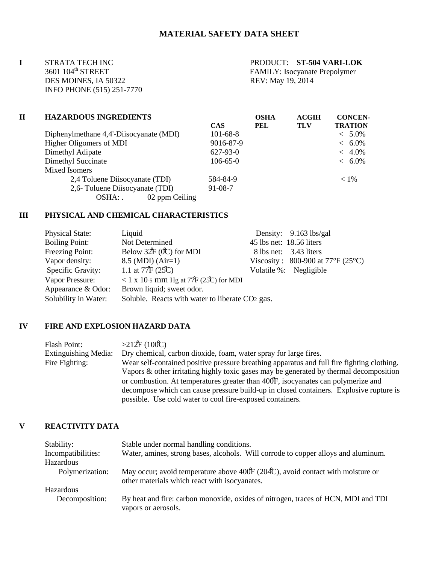**I** STRATA TECH INC<br>3601 104<sup>th</sup> STREET FAMILY: Isocvanate Prepolymer DES MOINES, IA 50322 INFO PHONE (515) 251-7770

5001 FAMILY: Isocyanate Prepolymer<br>REV: May 19, 2014

| П | <b>HAZARDOUS INGREDIENTS</b>            |                | <b>OSHA</b> | <b>ACGIH</b> | <b>CONCEN-</b> |  |
|---|-----------------------------------------|----------------|-------------|--------------|----------------|--|
|   |                                         | <b>CAS</b>     | PEL         | <b>TLV</b>   | <b>TRATION</b> |  |
|   | Diphenylmethane 4,4'-Diisocyanate (MDI) | $101 - 68 - 8$ |             |              | $< 5.0\%$      |  |
|   | Higher Oligomers of MDI                 | 9016-87-9      |             |              | $< 6.0\%$      |  |
|   | Dimethyl Adipate                        | $627-93-0$     |             |              | $~<~4.0\%$     |  |
|   | Dimethyl Succinate                      | $106 - 65 - 0$ |             |              | $< 6.0\%$      |  |
|   | Mixed Isomers                           |                |             |              |                |  |
|   | 2,4 Toluene Diisocyanate (TDI)          | 584-84-9       |             |              | $< 1\%$        |  |
|   | 2,6- Toluene Diisocyanate (TDI)         | $91 - 08 - 7$  |             |              |                |  |
|   | 02 ppm Ceiling<br>OSHA: .               |                |             |              |                |  |

#### **III PHYSICAL AND CHEMICAL CHARACTERISTICS**

| <b>Physical State:</b> | Liquid                                          |                          | Density: $9.163$ lbs/gal          |
|------------------------|-------------------------------------------------|--------------------------|-----------------------------------|
| <b>Boiling Point:</b>  | Not Determined                                  | 45 lbs net: 18.56 liters |                                   |
| Freezing Point:        | Below $32F(0C)$ for MDI                         |                          | 8 lbs net: 3.43 liters            |
| Vapor density:         | $8.5 \,(MDI) \,(Air=1)$                         |                          | Viscosity: 800-900 at 77°F (25°C) |
| Specific Gravity:      | 1.1 at $77F(25C)$                               |                          | Volatile %: Negligible            |
| Vapor Pressure:        | < 1 x 10-5 mm Hg at $77F(25C)$ for MDI          |                          |                                   |
| Appearance & Odor:     | Brown liquid; sweet odor.                       |                          |                                   |
| Solubility in Water:   | Soluble. Reacts with water to liberate CO2 gas. |                          |                                   |

### **IV FIRE AND EXPLOSION HAZARD DATA**

Flash Point:  $>212F (100C)$ Extinguishing Media: Dry chemical, carbon dioxide, foam, water spray for large fires. Fire Fighting: Wear self-contained positive pressure breathing apparatus and full fire fighting clothing. Vapors & other irritating highly toxic gases may be generated by thermal decomposition or combustion. At temperatures greater than 400F, isocyanates can polymerize and decompose which can cause pressure build-up in closed containers. Explosive rupture is possible. Use cold water to cool fire-exposed containers.

### **V REACTIVITY DATA**

| Stability:         | Stable under normal handling conditions.                                                                                        |
|--------------------|---------------------------------------------------------------------------------------------------------------------------------|
| Incompatibilities: | Water, amines, strong bases, alcohols. Will corrode to copper alloys and aluminum.                                              |
| Hazardous          |                                                                                                                                 |
| Polymerization:    | May occur; avoid temperature above 400F (204C), avoid contact with moisture or<br>other materials which react with isocyanates. |
| Hazardous          |                                                                                                                                 |
| Decomposition:     | By heat and fire: carbon monoxide, oxides of nitrogen, traces of HCN, MDI and TDI<br>vapors or aerosols.                        |